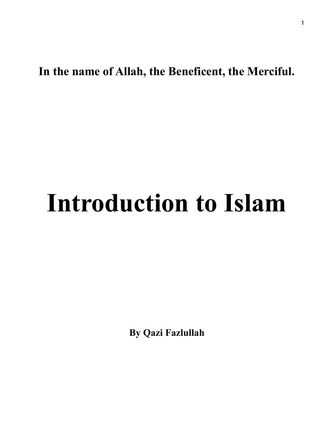**In the name of Allah, the Beneficent, the Merciful.** 

# **Introduction to Islam**

**By Qazi Fazlullah**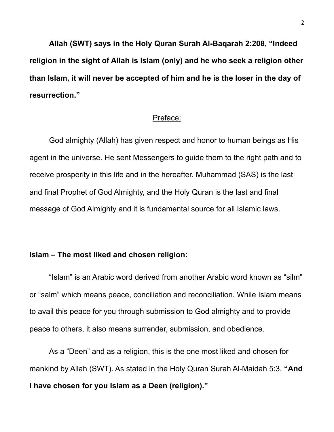**Allah (SWT) says in the Holy Quran Surah Al-Baqarah 2:208, "Indeed religion in the sight of Allah is Islam (only) and he who seek a religion other than Islam, it will never be accepted of him and he is the loser in the day of resurrection."** 

## Preface:

 God almighty (Allah) has given respect and honor to human beings as His agent in the universe. He sent Messengers to guide them to the right path and to receive prosperity in this life and in the hereafter. Muhammad (SAS) is the last and final Prophet of God Almighty, and the Holy Quran is the last and final message of God Almighty and it is fundamental source for all Islamic laws.

# **Islam – The most liked and chosen religion:**

 "Islam" is an Arabic word derived from another Arabic word known as "silm" or "salm" which means peace, conciliation and reconciliation. While Islam means to avail this peace for you through submission to God almighty and to provide peace to others, it also means surrender, submission, and obedience.

 As a "Deen" and as a religion, this is the one most liked and chosen for mankind by Allah (SWT). As stated in the Holy Quran Surah Al-Maidah 5:3, **"And I have chosen for you Islam as a Deen (religion)."**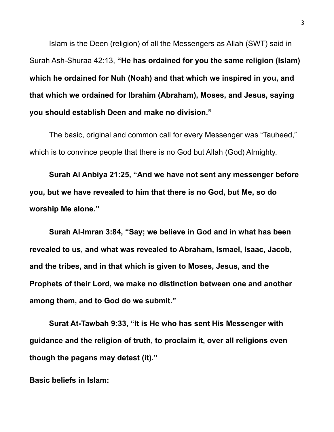Islam is the Deen (religion) of all the Messengers as Allah (SWT) said in Surah Ash-Shuraa 42:13, **"He has ordained for you the same religion (Islam) which he ordained for Nuh (Noah) and that which we inspired in you, and that which we ordained for Ibrahim (Abraham), Moses, and Jesus, saying you should establish Deen and make no division."** 

The basic, original and common call for every Messenger was "Tauheed," which is to convince people that there is no God but Allah (God) Almighty.

**Surah Al Anbiya 21:25, "And we have not sent any messenger before you, but we have revealed to him that there is no God, but Me, so do worship Me alone."** 

 **Surah Al-Imran 3:84, "Say; we believe in God and in what has been revealed to us, and what was revealed to Abraham, Ismael, Isaac, Jacob, and the tribes, and in that which is given to Moses, Jesus, and the Prophets of their Lord, we make no distinction between one and another among them, and to God do we submit."** 

 **Surat At-Tawbah 9:33, "It is He who has sent His Messenger with guidance and the religion of truth, to proclaim it, over all religions even though the pagans may detest (it)."** 

**Basic beliefs in Islam:**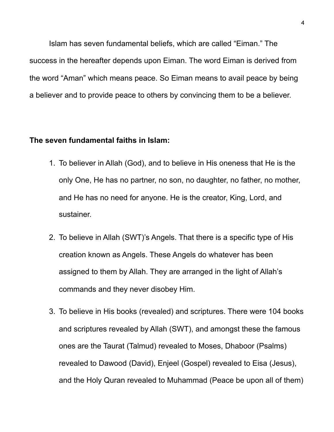Islam has seven fundamental beliefs, which are called "Eiman." The success in the hereafter depends upon Eiman. The word Eiman is derived from the word "Aman" which means peace. So Eiman means to avail peace by being a believer and to provide peace to others by convincing them to be a believer.

### **The seven fundamental faiths in Islam:**

- 1. To believer in Allah (God), and to believe in His oneness that He is the only One, He has no partner, no son, no daughter, no father, no mother, and He has no need for anyone. He is the creator, King, Lord, and sustainer.
- 2. To believe in Allah (SWT)'s Angels. That there is a specific type of His creation known as Angels. These Angels do whatever has been assigned to them by Allah. They are arranged in the light of Allah's commands and they never disobey Him.
- 3. To believe in His books (revealed) and scriptures. There were 104 books and scriptures revealed by Allah (SWT), and amongst these the famous ones are the Taurat (Talmud) revealed to Moses, Dhaboor (Psalms) revealed to Dawood (David), Enjeel (Gospel) revealed to Eisa (Jesus), and the Holy Quran revealed to Muhammad (Peace be upon all of them)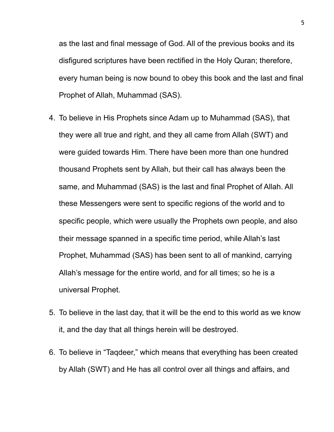as the last and final message of God. All of the previous books and its disfigured scriptures have been rectified in the Holy Quran; therefore, every human being is now bound to obey this book and the last and final Prophet of Allah, Muhammad (SAS).

- 4. To believe in His Prophets since Adam up to Muhammad (SAS), that they were all true and right, and they all came from Allah (SWT) and were guided towards Him. There have been more than one hundred thousand Prophets sent by Allah, but their call has always been the same, and Muhammad (SAS) is the last and final Prophet of Allah. All these Messengers were sent to specific regions of the world and to specific people, which were usually the Prophets own people, and also their message spanned in a specific time period, while Allah's last Prophet, Muhammad (SAS) has been sent to all of mankind, carrying Allah's message for the entire world, and for all times; so he is a universal Prophet.
- 5. To believe in the last day, that it will be the end to this world as we know it, and the day that all things herein will be destroyed.
- 6. To believe in "Taqdeer," which means that everything has been created by Allah (SWT) and He has all control over all things and affairs, and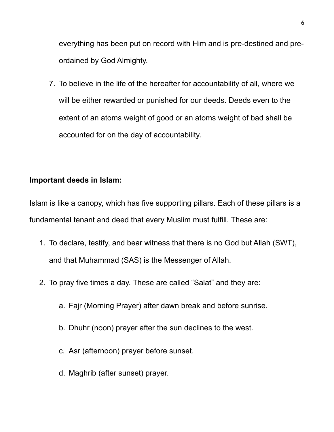everything has been put on record with Him and is pre-destined and preordained by God Almighty.

7. To believe in the life of the hereafter for accountability of all, where we will be either rewarded or punished for our deeds. Deeds even to the extent of an atoms weight of good or an atoms weight of bad shall be accounted for on the day of accountability.

# **Important deeds in Islam:**

Islam is like a canopy, which has five supporting pillars. Each of these pillars is a fundamental tenant and deed that every Muslim must fulfill. These are:

- 1. To declare, testify, and bear witness that there is no God but Allah (SWT), and that Muhammad (SAS) is the Messenger of Allah.
- 2. To pray five times a day. These are called "Salat" and they are:
	- a. Fajr (Morning Prayer) after dawn break and before sunrise.
	- b. Dhuhr (noon) prayer after the sun declines to the west.
	- c. Asr (afternoon) prayer before sunset.
	- d. Maghrib (after sunset) prayer.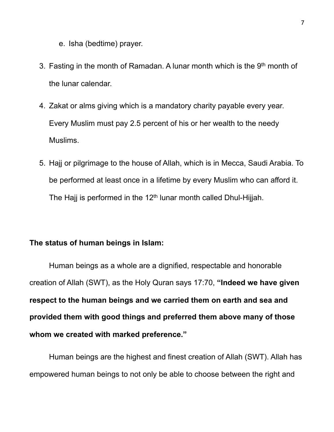- e. Isha (bedtime) prayer.
- 3. Fasting in the month of Ramadan. A lunar month which is the 9<sup>th</sup> month of the lunar calendar.
- 4. Zakat or alms giving which is a mandatory charity payable every year. Every Muslim must pay 2.5 percent of his or her wealth to the needy Muslims.
- 5. Hajj or pilgrimage to the house of Allah, which is in Mecca, Saudi Arabia. To be performed at least once in a lifetime by every Muslim who can afford it. The Hajj is performed in the  $12<sup>th</sup>$  lunar month called Dhul-Hijjah.

# **The status of human beings in Islam:**

Human beings as a whole are a dignified, respectable and honorable creation of Allah (SWT), as the Holy Quran says 17:70, **"Indeed we have given respect to the human beings and we carried them on earth and sea and provided them with good things and preferred them above many of those whom we created with marked preference."**

 Human beings are the highest and finest creation of Allah (SWT). Allah has empowered human beings to not only be able to choose between the right and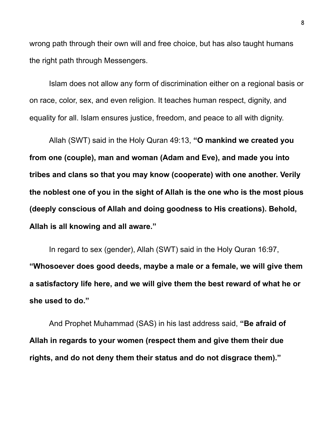wrong path through their own will and free choice, but has also taught humans the right path through Messengers.

 Islam does not allow any form of discrimination either on a regional basis or on race, color, sex, and even religion. It teaches human respect, dignity, and equality for all. Islam ensures justice, freedom, and peace to all with dignity.

 Allah (SWT) said in the Holy Quran 49:13, **"O mankind we created you from one (couple), man and woman (Adam and Eve), and made you into tribes and clans so that you may know (cooperate) with one another. Verily the noblest one of you in the sight of Allah is the one who is the most pious (deeply conscious of Allah and doing goodness to His creations). Behold, Allah is all knowing and all aware."**

 In regard to sex (gender), Allah (SWT) said in the Holy Quran 16:97, **"Whosoever does good deeds, maybe a male or a female, we will give them a satisfactory life here, and we will give them the best reward of what he or she used to do."** 

 And Prophet Muhammad (SAS) in his last address said, **"Be afraid of Allah in regards to your women (respect them and give them their due rights, and do not deny them their status and do not disgrace them)."**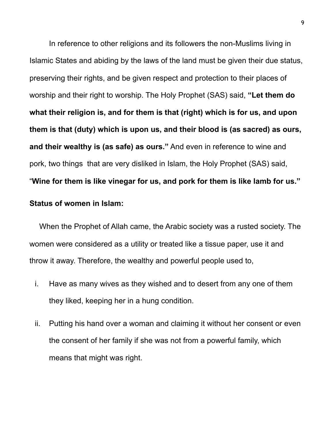In reference to other religions and its followers the non-Muslims living in Islamic States and abiding by the laws of the land must be given their due status, preserving their rights, and be given respect and protection to their places of worship and their right to worship. The Holy Prophet (SAS) said, **"Let them do what their religion is, and for them is that (right) which is for us, and upon them is that (duty) which is upon us, and their blood is (as sacred) as ours, and their wealthy is (as safe) as ours."** And even in reference to wine and pork, two things that are very disliked in Islam, the Holy Prophet (SAS) said, "**Wine for them is like vinegar for us, and pork for them is like lamb for us."**

#### **Status of women in Islam:**

When the Prophet of Allah came, the Arabic society was a rusted society. The women were considered as a utility or treated like a tissue paper, use it and throw it away. Therefore, the wealthy and powerful people used to,

- i. Have as many wives as they wished and to desert from any one of them they liked, keeping her in a hung condition.
- ii. Putting his hand over a woman and claiming it without her consent or even the consent of her family if she was not from a powerful family, which means that might was right.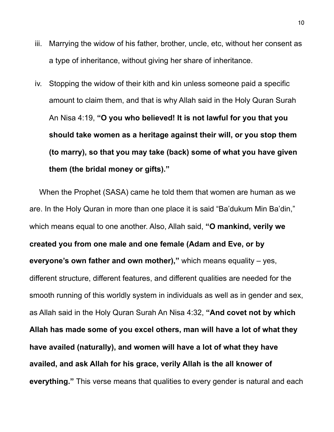- iii. Marrying the widow of his father, brother, uncle, etc, without her consent as a type of inheritance, without giving her share of inheritance.
- iv. Stopping the widow of their kith and kin unless someone paid a specific amount to claim them, and that is why Allah said in the Holy Quran Surah An Nisa 4:19, **"O you who believed! It is not lawful for you that you should take women as a heritage against their will, or you stop them (to marry), so that you may take (back) some of what you have given them (the bridal money or gifts)."**

When the Prophet (SASA) came he told them that women are human as we are. In the Holy Quran in more than one place it is said "Ba'dukum Min Ba'din," which means equal to one another. Also, Allah said, **"O mankind, verily we created you from one male and one female (Adam and Eve, or by everyone's own father and own mother),"** which means equality – yes, different structure, different features, and different qualities are needed for the smooth running of this worldly system in individuals as well as in gender and sex, as Allah said in the Holy Quran Surah An Nisa 4:32, **"And covet not by which Allah has made some of you excel others, man will have a lot of what they have availed (naturally), and women will have a lot of what they have availed, and ask Allah for his grace, verily Allah is the all knower of everything."** This verse means that qualities to every gender is natural and each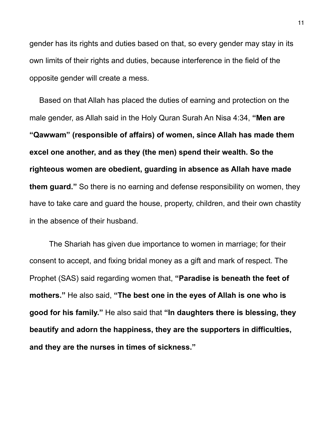gender has its rights and duties based on that, so every gender may stay in its own limits of their rights and duties, because interference in the field of the opposite gender will create a mess.

Based on that Allah has placed the duties of earning and protection on the male gender, as Allah said in the Holy Quran Surah An Nisa 4:34, **"Men are "Qawwam" (responsible of affairs) of women, since Allah has made them excel one another, and as they (the men) spend their wealth. So the righteous women are obedient, guarding in absence as Allah have made them guard."** So there is no earning and defense responsibility on women, they have to take care and guard the house, property, children, and their own chastity in the absence of their husband.

 The Shariah has given due importance to women in marriage; for their consent to accept, and fixing bridal money as a gift and mark of respect. The Prophet (SAS) said regarding women that, **"Paradise is beneath the feet of mothers."** He also said, **"The best one in the eyes of Allah is one who is good for his family."** He also said that **"In daughters there is blessing, they beautify and adorn the happiness, they are the supporters in difficulties, and they are the nurses in times of sickness."**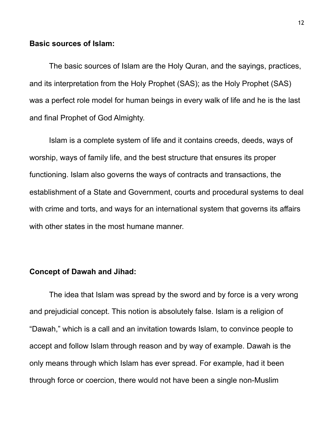## **Basic sources of Islam:**

 The basic sources of Islam are the Holy Quran, and the sayings, practices, and its interpretation from the Holy Prophet (SAS); as the Holy Prophet (SAS) was a perfect role model for human beings in every walk of life and he is the last and final Prophet of God Almighty.

 Islam is a complete system of life and it contains creeds, deeds, ways of worship, ways of family life, and the best structure that ensures its proper functioning. Islam also governs the ways of contracts and transactions, the establishment of a State and Government, courts and procedural systems to deal with crime and torts, and ways for an international system that governs its affairs with other states in the most humane manner.

## **Concept of Dawah and Jihad:**

 The idea that Islam was spread by the sword and by force is a very wrong and prejudicial concept. This notion is absolutely false. Islam is a religion of "Dawah," which is a call and an invitation towards Islam, to convince people to accept and follow Islam through reason and by way of example. Dawah is the only means through which Islam has ever spread. For example, had it been through force or coercion, there would not have been a single non-Muslim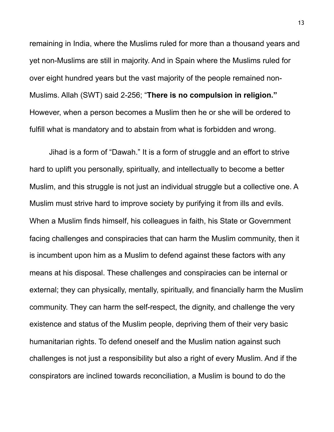remaining in India, where the Muslims ruled for more than a thousand years and yet non-Muslims are still in majority. And in Spain where the Muslims ruled for over eight hundred years but the vast majority of the people remained non-Muslims. Allah (SWT) said 2-256; "**There is no compulsion in religion."** However, when a person becomes a Muslim then he or she will be ordered to fulfill what is mandatory and to abstain from what is forbidden and wrong.

 Jihad is a form of "Dawah." It is a form of struggle and an effort to strive hard to uplift you personally, spiritually, and intellectually to become a better Muslim, and this struggle is not just an individual struggle but a collective one. A Muslim must strive hard to improve society by purifying it from ills and evils. When a Muslim finds himself, his colleagues in faith, his State or Government facing challenges and conspiracies that can harm the Muslim community, then it is incumbent upon him as a Muslim to defend against these factors with any means at his disposal. These challenges and conspiracies can be internal or external; they can physically, mentally, spiritually, and financially harm the Muslim community. They can harm the self-respect, the dignity, and challenge the very existence and status of the Muslim people, depriving them of their very basic humanitarian rights. To defend oneself and the Muslim nation against such challenges is not just a responsibility but also a right of every Muslim. And if the conspirators are inclined towards reconciliation, a Muslim is bound to do the